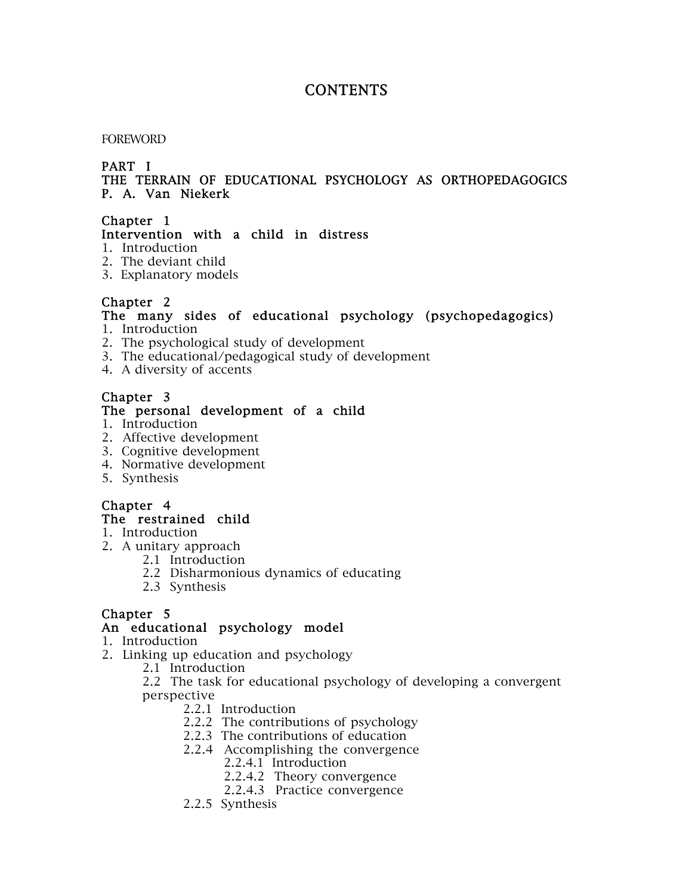# **CONTENTS**

#### FOREWORD

### PART I

#### THE TERRAIN OF EDUCATIONAL PSYCHOLOGY AS ORTHOPEDAGOGICS P. A. Van Niekerk

# Chapter 1

#### Intervention with a child in distress

- 1. Introduction
- 2. The deviant child
- 3. Explanatory models

# Chapter 2

# The many sides of educational psychology (psychopedagogics)

- 1. Introduction
- 2. The psychological study of development
- 3. The educational/pedagogical study of development
- 4. A diversity of accents

# Chapter 3

#### The personal development of a child

- 1. Introduction
- 2. Affective development
- 3. Cognitive development
- 4. Normative development
- 5. Synthesis

# Chapter 4

# The restrained child

- 1. Introduction
- 2. A unitary approach
	- 2.1 Introduction
	- 2.2 Disharmonious dynamics of educating
	- 2.3 Synthesis

# Chapter 5

### An educational psychology model

- 1. Introduction
- 2. Linking up education and psychology
	- 2.1 Introduction

2.2 The task for educational psychology of developing a convergent perspective

- 2.2.1 Introduction
- 2.2.2 The contributions of psychology
- 2.2.3 The contributions of education
- 2.2.4 Accomplishing the convergence
	- 2.2.4.1 Introduction
	- 2.2.4.2 Theory convergence
	- 2.2.4.3 Practice convergence
- 2.2.5 Synthesis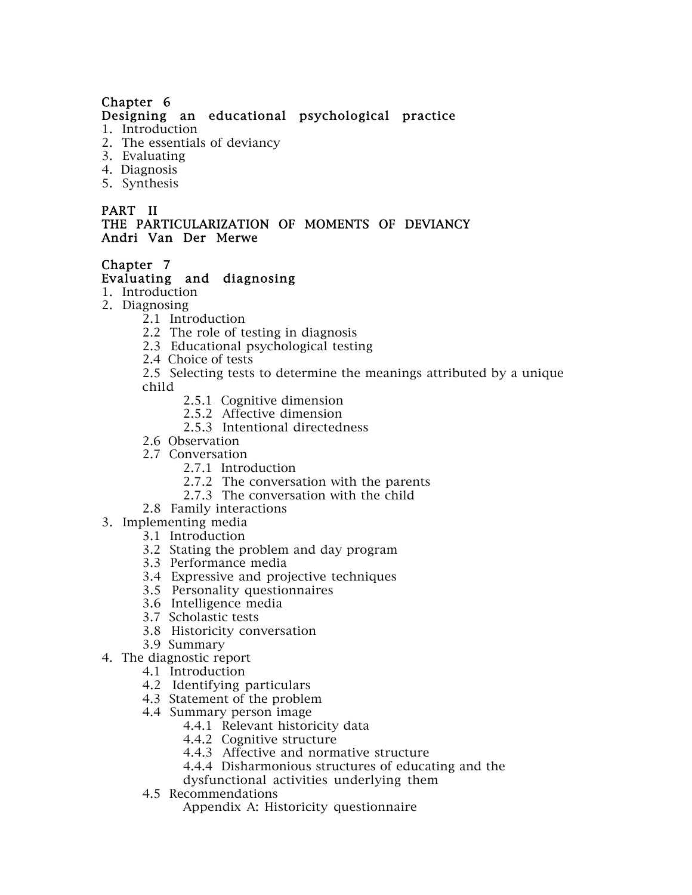# Designing an educational psychological practice

- 1. Introduction
- 2. The essentials of deviancy
- 3. Evaluating
- 4. Diagnosis
- 5. Synthesis

#### PART II THE PARTICULARIZATION OF MOMENTS OF DEVIANCY Andri Van Der Merwe

#### Chapter 7

### Evaluating and diagnosing

- 1. Introduction
- 2. Diagnosing
	- 2.1 Introduction
	- 2.2 The role of testing in diagnosis
	- 2.3 Educational psychological testing
	- 2.4 Choice of tests

2.5 Selecting tests to determine the meanings attributed by a unique child

- 2.5.1 Cognitive dimension
- 2.5.2 Affective dimension
- 2.5.3 Intentional directedness
- 2.6 Observation
- 2.7 Conversation
	- 2.7.1 Introduction
	- 2.7.2 The conversation with the parents
	- 2.7.3 The conversation with the child
- 2.8 Family interactions
- 3. Implementing media
	- 3.1 Introduction
	- 3.2 Stating the problem and day program
	- 3.3 Performance media
	- 3.4 Expressive and projective techniques
	- 3.5 Personality questionnaires
	- 3.6 Intelligence media
	- 3.7 Scholastic tests
	- 3.8 Historicity conversation
	- 3.9 Summary
- 4. The diagnostic report
	- 4.1 Introduction
	- 4.2 Identifying particulars
	- 4.3 Statement of the problem
	- 4.4 Summary person image
		- 4.4.1 Relevant historicity data
		- 4.4.2 Cognitive structure
		- 4.4.3 Affective and normative structure
		- 4.4.4 Disharmonious structures of educating and the
		- dysfunctional activities underlying them
	- 4.5 Recommendations

Appendix A: Historicity questionnaire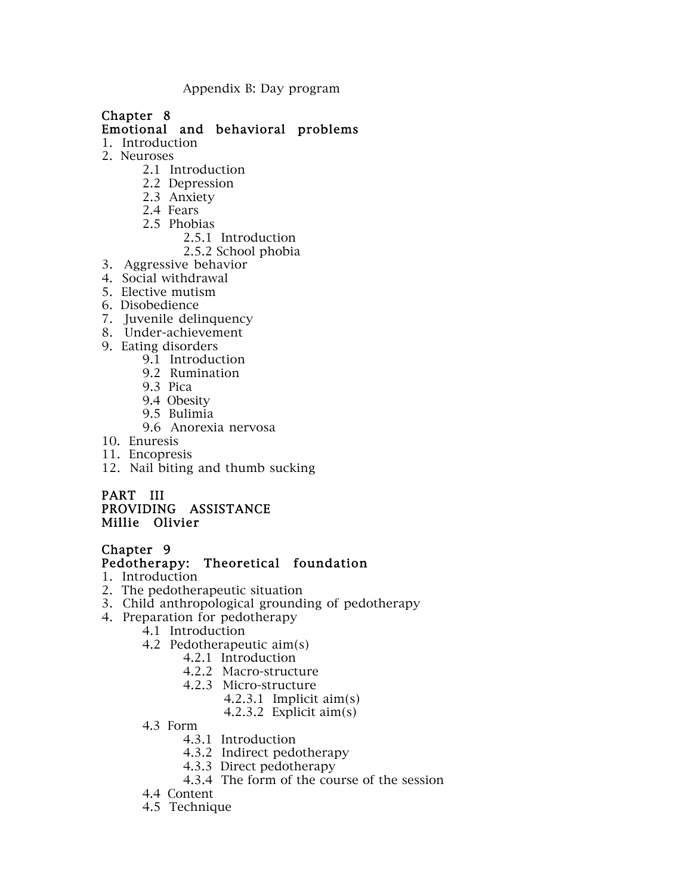Appendix B: Day program

# Chapter 8

Emotional and behavioral problems

- 1. Introduction
- 2. Neuroses
	- 2.1 Introduction
	- 2.2 Depression
	- 2.3 Anxiety
	- 2.4 Fears
	- 2.5 Phobias
		- 2.5.1 Introduction
		- 2.5.2 School phobia
- 3. Aggressive behavior
- 4. Social withdrawal
- 5. Elective mutism
- 6. Disobedience
- 7. Juvenile delinquency
- 8. Under-achievement
- 9. Eating disorders
	- 9.1 Introduction
	- 9.2 Rumination
	- 9.3 Pica
	- 9.4 Obesity
	- 9.5 Bulimia
	- 9.6 Anorexia nervosa
- 10. Enuresis
- 11. Encopresis
- 12. Nail biting and thumb sucking

#### PART III PROVIDING ASSISTANCE Millie Olivier

# Chapter 9

# Pedotherapy: Theoretical foundation

- 1. Introduction
- 2. The pedotherapeutic situation
- 3. Child anthropological grounding of pedotherapy
- 4. Preparation for pedotherapy
	- 4.1 Introduction
	- 4.2 Pedotherapeutic aim(s)
		- 4.2.1 Introduction
		- 4.2.2 Macro-structure
		- 4.2.3 Micro-structure
			- 4.2.3.1 Implicit aim(s)
			- 4.2.3.2 Explicit aim(s)
	- 4.3 Form
		- 4.3.1 Introduction
		- 4.3.2 Indirect pedotherapy
		- 4.3.3 Direct pedotherapy
		- 4.3.4 The form of the course of the session
	- 4.4 Content
	- 4.5 Technique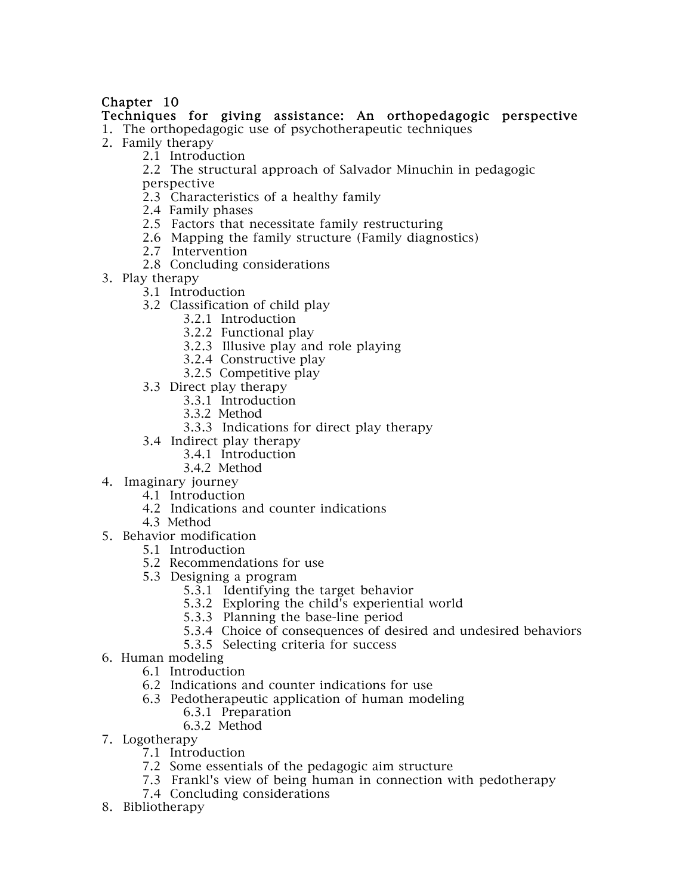### Techniques for giving assistance: An orthopedagogic perspective

1. The orthopedagogic use of psychotherapeutic techniques

- 2. Family therapy
	- 2.1 Introduction
	- 2.2 The structural approach of Salvador Minuchin in pedagogic

perspective

- 2.3 Characteristics of a healthy family
- 2.4 Family phases
- 2.5 Factors that necessitate family restructuring
- 2.6 Mapping the family structure (Family diagnostics)
- 2.7 Intervention
- 2.8 Concluding considerations
- 3. Play therapy
	- 3.1 Introduction
	- 3.2 Classification of child play
		- 3.2.1 Introduction
		- 3.2.2 Functional play
		- 3.2.3 Illusive play and role playing
		- 3.2.4 Constructive play
		- 3.2.5 Competitive play
	- 3.3 Direct play therapy
		- 3.3.1 Introduction
		- 3.3.2 Method
		- 3.3.3 Indications for direct play therapy
	- 3.4 Indirect play therapy
		- 3.4.1 Introduction
		- 3.4.2 Method
- 4. Imaginary journey
	- 4.1 Introduction
	- 4.2 Indications and counter indications
	- 4.3 Method
- 5. Behavior modification
	- 5.1 Introduction
	- 5.2 Recommendations for use
	- 5.3 Designing a program
		- 5.3.1 Identifying the target behavior
		- 5.3.2 Exploring the child's experiential world
		- 5.3.3 Planning the base-line period
		- 5.3.4 Choice of consequences of desired and undesired behaviors
		- 5.3.5 Selecting criteria for success
- 6. Human modeling
	- 6.1 Introduction
	- 6.2 Indications and counter indications for use
	- 6.3 Pedotherapeutic application of human modeling
		- 6.3.1 Preparation
		- 6.3.2 Method
- 7. Logotherapy
	- 7.1 Introduction
	- 7.2 Some essentials of the pedagogic aim structure
	- 7.3 Frankl's view of being human in connection with pedotherapy
	- 7.4 Concluding considerations
- 8. Bibliotherapy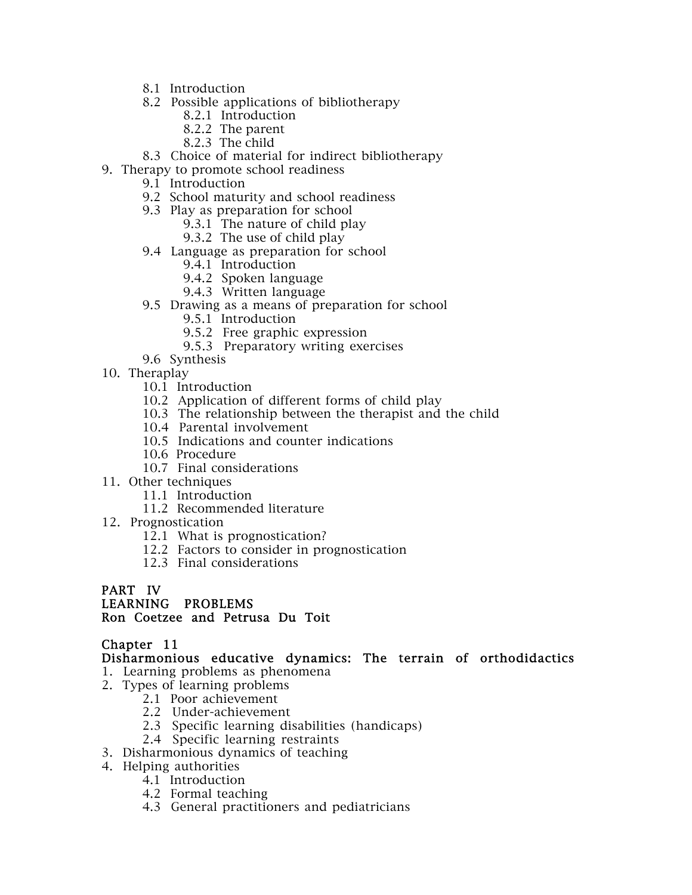- 8.1 Introduction
- 8.2 Possible applications of bibliotherapy
	- 8.2.1 Introduction
	- 8.2.2 The parent
	- 8.2.3 The child
- 8.3 Choice of material for indirect bibliotherapy
- 9. Therapy to promote school readiness
	- 9.1 Introduction
	- 9.2 School maturity and school readiness
	- 9.3 Play as preparation for school
		- 9.3.1 The nature of child play
		- 9.3.2 The use of child play
	- 9.4 Language as preparation for school
		- 9.4.1 Introduction
		- 9.4.2 Spoken language
		- 9.4.3 Written language
	- 9.5 Drawing as a means of preparation for school
		- 9.5.1 Introduction
		- 9.5.2 Free graphic expression
		- 9.5.3 Preparatory writing exercises
	- 9.6 Synthesis
- 10. Theraplay
	- 10.1 Introduction
	- 10.2 Application of different forms of child play
	- 10.3 The relationship between the therapist and the child
	- 10.4 Parental involvement
	- 10.5 Indications and counter indications
	- 10.6 Procedure
	- 10.7 Final considerations
- 11. Other techniques
	- 11.1 Introduction
	- 11.2 Recommended literature
- 12. Prognostication
	- 12.1 What is prognostication?
	- 12.2 Factors to consider in prognostication
	- 12.3 Final considerations

#### PART IV

# LEARNING PROBLEMS

#### Ron Coetzee and Petrusa Du Toit

#### Chapter 11

Disharmonious educative dynamics: The terrain of orthodidactics

- 1. Learning problems as phenomena
- 2. Types of learning problems
	- 2.1 Poor achievement
	- 2.2 Under-achievement
	- 2.3 Specific learning disabilities (handicaps)
	- 2.4 Specific learning restraints
- 3. Disharmonious dynamics of teaching
- 4. Helping authorities
	- 4.1 Introduction
	- 4.2 Formal teaching
	- 4.3 General practitioners and pediatricians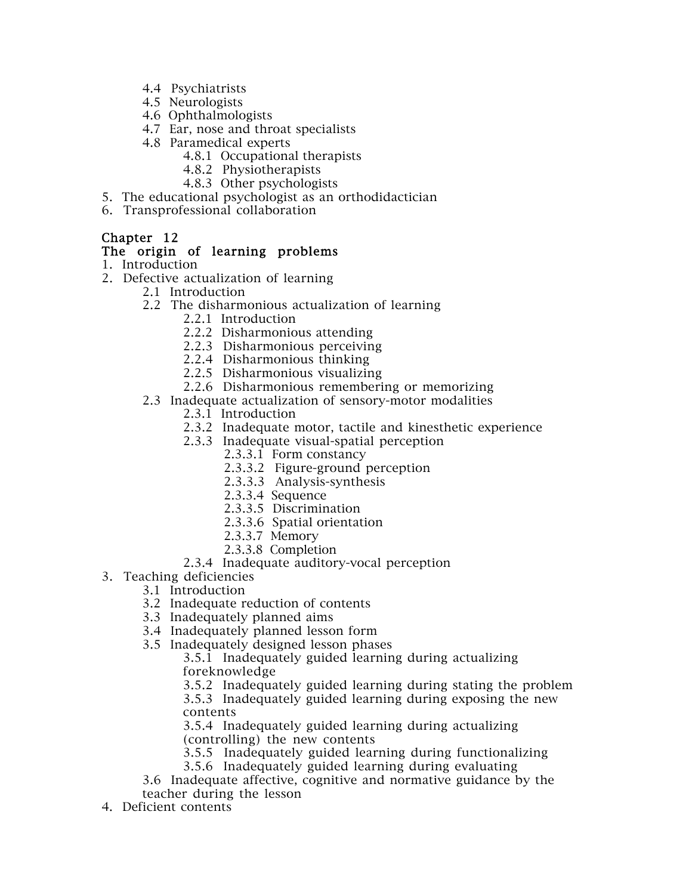- 4.4 Psychiatrists
- 4.5 Neurologists
- 4.6 Ophthalmologists
- 4.7 Ear, nose and throat specialists
- 4.8 Paramedical experts
	- 4.8.1 Occupational therapists
	- 4.8.2 Physiotherapists
	- 4.8.3 Other psychologists
- 5. The educational psychologist as an orthodidactician
- 6. Transprofessional collaboration

#### The origin of learning problems

- 1. Introduction
- 2. Defective actualization of learning
	- 2.1 Introduction
	- 2.2 The disharmonious actualization of learning
		- 2.2.1 Introduction
		- 2.2.2 Disharmonious attending
		- 2.2.3 Disharmonious perceiving
		- 2.2.4 Disharmonious thinking
		- 2.2.5 Disharmonious visualizing
		- 2.2.6 Disharmonious remembering or memorizing
	- 2.3 Inadequate actualization of sensory-motor modalities
		- 2.3.1 Introduction
		- 2.3.2 Inadequate motor, tactile and kinesthetic experience
		- 2.3.3 Inadequate visual-spatial perception
			- 2.3.3.1 Form constancy
			- 2.3.3.2 Figure-ground perception
			- 2.3.3.3 Analysis-synthesis
			- 2.3.3.4 Sequence
			- 2.3.3.5 Discrimination
			- 2.3.3.6 Spatial orientation
			- 2.3.3.7 Memory
			- 2.3.3.8 Completion
		- 2.3.4 Inadequate auditory-vocal perception
- 3. Teaching deficiencies
	- 3.1 Introduction
		- 3.2 Inadequate reduction of contents
		- 3.3 Inadequately planned aims
		- 3.4 Inadequately planned lesson form
		- 3.5 Inadequately designed lesson phases

3.5.1 Inadequately guided learning during actualizing foreknowledge

3.5.2 Inadequately guided learning during stating the problem

3.5.3 Inadequately guided learning during exposing the new contents

3.5.4 Inadequately guided learning during actualizing (controlling) the new contents

- 3.5.5 Inadequately guided learning during functionalizing
- 3.5.6 Inadequately guided learning during evaluating

3.6 Inadequate affective, cognitive and normative guidance by the teacher during the lesson

4. Deficient contents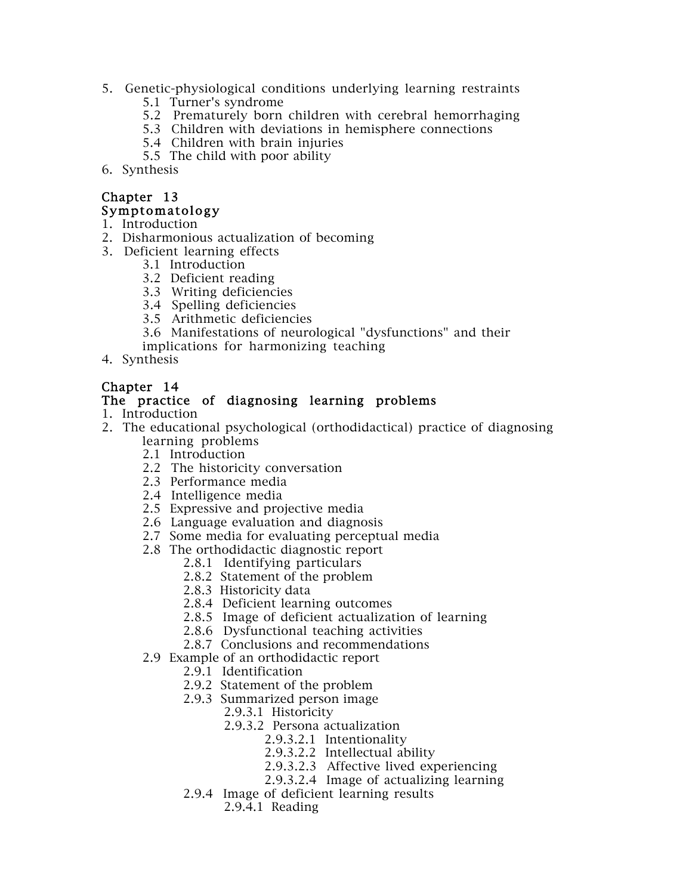- 5. Genetic-physiological conditions underlying learning restraints
	- 5.1 Turner's syndrome
	- 5.2 Prematurely born children with cerebral hemorrhaging
	- 5.3 Children with deviations in hemisphere connections
	- 5.4 Children with brain injuries
	- 5.5 The child with poor ability
- 6. Synthesis

#### Chapter 13 Symptomatology

- 1. Introduction
- 2. Disharmonious actualization of becoming
- 3. Deficient learning effects
	- 3.1 Introduction
	- 3.2 Deficient reading
	- 3.3 Writing deficiencies
	- 3.4 Spelling deficiencies
	- 3.5 Arithmetic deficiencies
	- 3.6 Manifestations of neurological "dysfunctions" and their
	- implications for harmonizing teaching
- 4. Synthesis

#### Chapter 14

#### The practice of diagnosing learning problems

- 1. Introduction
- 2. The educational psychological (orthodidactical) practice of diagnosing learning problems
	- 2.1 Introduction
	- 2.2 The historicity conversation
	- 2.3 Performance media
	- 2.4 Intelligence media
	- 2.5 Expressive and projective media
	- 2.6 Language evaluation and diagnosis
	- 2.7 Some media for evaluating perceptual media
	- 2.8 The orthodidactic diagnostic report
		- 2.8.1 Identifying particulars
		- 2.8.2 Statement of the problem
		- 2.8.3 Historicity data
		- 2.8.4 Deficient learning outcomes
		- 2.8.5 Image of deficient actualization of learning
		- 2.8.6 Dysfunctional teaching activities
		- 2.8.7 Conclusions and recommendations
	- 2.9 Example of an orthodidactic report
		- 2.9.1 Identification
		- 2.9.2 Statement of the problem
		- 2.9.3 Summarized person image
			- 2.9.3.1 Historicity
			- 2.9.3.2 Persona actualization
				- 2.9.3.2.1 Intentionality
				- 2.9.3.2.2 Intellectual ability
				- 2.9.3.2.3 Affective lived experiencing
				- 2.9.3.2.4 Image of actualizing learning
		- 2.9.4 Image of deficient learning results
			- 2.9.4.1 Reading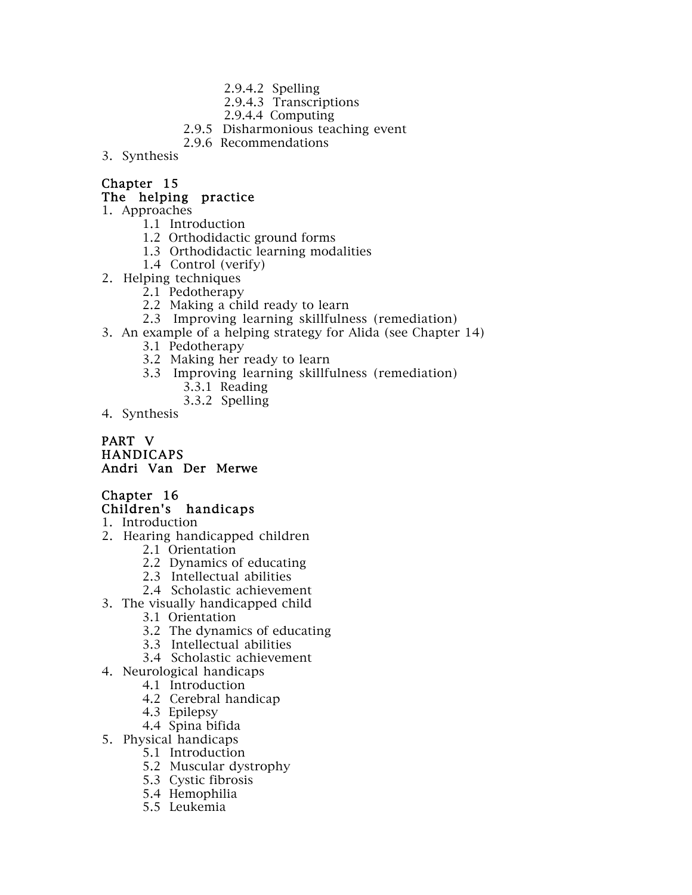- 2.9.4.2 Spelling
- 2.9.4.3 Transcriptions
- 2.9.4.4 Computing
- 2.9.5 Disharmonious teaching event
- 2.9.6 Recommendations
- 3. Synthesis

### The helping practice

- 1. Approaches
	- 1.1 Introduction
	- 1.2 Orthodidactic ground forms
	- 1.3 Orthodidactic learning modalities
	- 1.4 Control (verify)
- 2. Helping techniques
	- 2.1 Pedotherapy
	- 2.2 Making a child ready to learn
	- 2.3 Improving learning skillfulness (remediation)
- 3. An example of a helping strategy for Alida (see Chapter 14)
	- 3.1 Pedotherapy
	- 3.2 Making her ready to learn
	- 3.3 Improving learning skillfulness (remediation)
		- 3.3.1 Reading
		- 3.3.2 Spelling
- 4. Synthesis

#### PART V **HANDICAPS** Andri Van Der Merwe

# Chapter 16 Children's handicaps

- 1. Introduction
- 2. Hearing handicapped children
	- 2.1 Orientation
		- 2.2 Dynamics of educating
		- 2.3 Intellectual abilities
		- 2.4 Scholastic achievement
- 3. The visually handicapped child
	- 3.1 Orientation
	- 3.2 The dynamics of educating
	- 3.3 Intellectual abilities
	- 3.4 Scholastic achievement
- 4. Neurological handicaps
	- 4.1 Introduction
	- 4.2 Cerebral handicap
	- 4.3 Epilepsy
	- 4.4 Spina bifida
- 5. Physical handicaps
	- 5.1 Introduction
	- 5.2 Muscular dystrophy
	- 5.3 Cystic fibrosis
	- 5.4 Hemophilia
	- 5.5 Leukemia